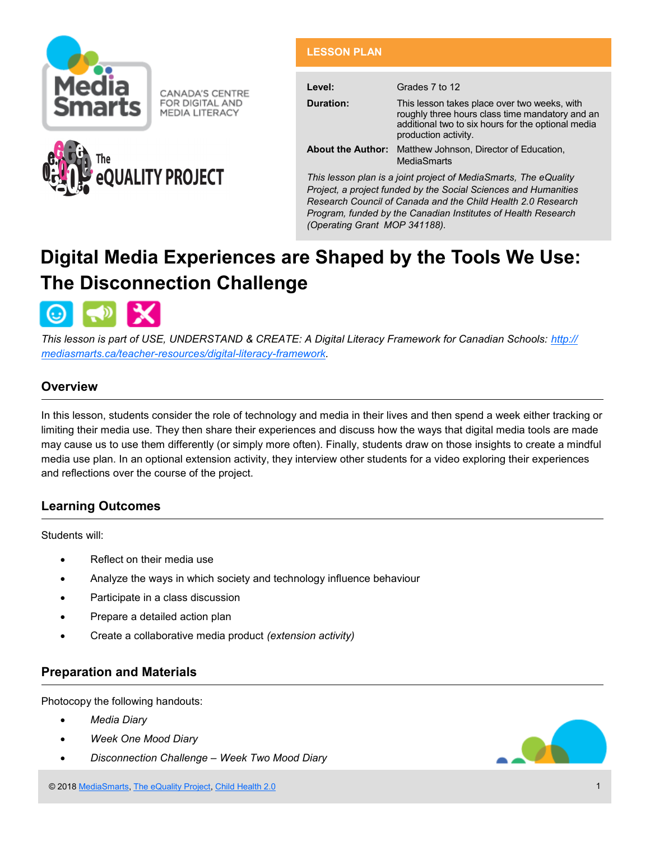

CANADA'S CENTRE FOR DIGITAL AND **MEDIA LITERACY** 



## **LESSON PLAN**

| Level:                                                                                                                              | Grades 7 to 12                                                                                                                                                                |  |
|-------------------------------------------------------------------------------------------------------------------------------------|-------------------------------------------------------------------------------------------------------------------------------------------------------------------------------|--|
| Duration:                                                                                                                           | This lesson takes place over two weeks, with<br>roughly three hours class time mandatory and an<br>additional two to six hours for the optional media<br>production activity. |  |
|                                                                                                                                     | <b>About the Author:</b> Matthew Johnson, Director of Education,<br><b>MediaSmarts</b>                                                                                        |  |
| This lesson plan is a joint project of MediaSmarts, The eQuality<br>Project, a project funded by the Social Sciences and Humanities |                                                                                                                                                                               |  |

*Project, a project funded by the Social Sciences and Humanities Research Council of Canada and the Child Health 2.0 Research Program, funded by the Canadian Institutes of Health Research (Operating Grant MOP 341188).*

# **Digital Media Experiences are Shaped by the Tools We Use: The Disconnection Challenge**



*This lesson is part of USE, UNDERSTAND & CREATE: A Digital Literacy Framework for Canadian Schools: [http://](http://mediasmarts.ca/teacher-resources/digital-literacy-framework) [mediasmarts.ca/teacher](http://mediasmarts.ca/teacher-resources/digital-literacy-framework)-resources/digital-literacy-framework.*

## **Overview**

In this lesson, students consider the role of technology and media in their lives and then spend a week either tracking or limiting their media use. They then share their experiences and discuss how the ways that digital media tools are made may cause us to use them differently (or simply more often). Finally, students draw on those insights to create a mindful media use plan. In an optional extension activity, they interview other students for a video exploring their experiences and reflections over the course of the project.

## **Learning Outcomes**

Students will:

- Reflect on their media use
- Analyze the ways in which society and technology influence behaviour
- Participate in a class discussion
- Prepare a detailed action plan
- Create a collaborative media product *(extension activity)*

## **Preparation and Materials**

Photocopy the following handouts:

- *Media Diary*
- *Week One Mood Diary*
- *Disconnection Challenge – Week Two Mood Diary*

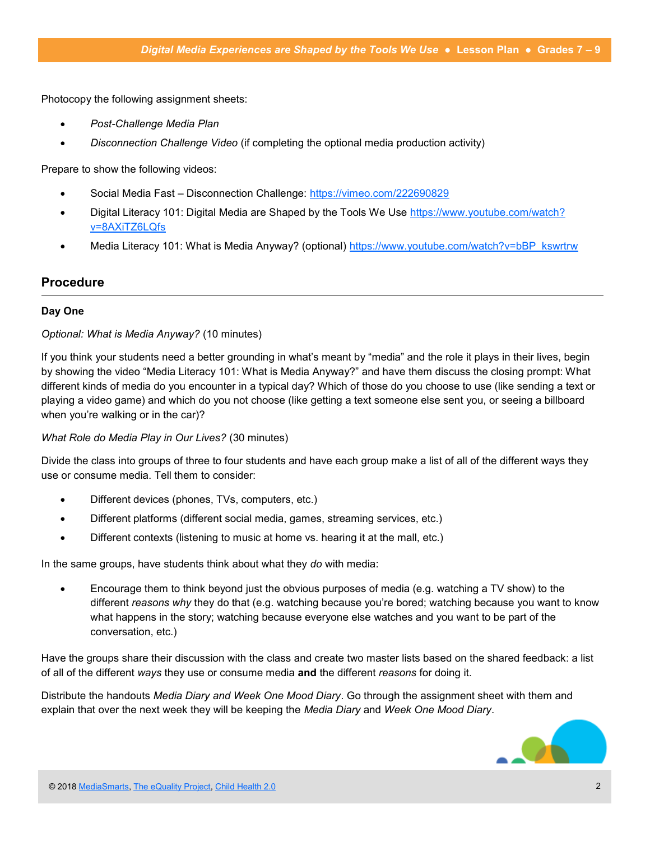Photocopy the following assignment sheets:

- *Post-Challenge Media Plan*
- *Disconnection Challenge Video* (if completing the optional media production activity)

Prepare to show the following videos:

- Social Media Fast Disconnection Challenge: <https://vimeo.com/222690829>
- Digital Literacy 101: Digital Media are Shaped by the Tools We Use [https://www.youtube.com/watch?](https://www.youtube.com/watch?v=8AXiTZ6LQfs) [v=8AXiTZ6LQfs](https://www.youtube.com/watch?v=8AXiTZ6LQfs)
- Media Literacy 101: What is Media Anyway? (optional) [https://www.youtube.com/watch?v=bBP\\_kswrtrw](https://www.youtube.com/watch?v=bBP_kswrtrw)

#### **Procedure**

#### **Day One**

#### *Optional: What is Media Anyway?* (10 minutes)

If you think your students need a better grounding in what's meant by "media" and the role it plays in their lives, begin by showing the video "Media Literacy 101: What is Media Anyway?" and have them discuss the closing prompt: What different kinds of media do you encounter in a typical day? Which of those do you choose to use (like sending a text or playing a video game) and which do you not choose (like getting a text someone else sent you, or seeing a billboard when you're walking or in the car)?

#### *What Role do Media Play in Our Lives?* (30 minutes)

Divide the class into groups of three to four students and have each group make a list of all of the different ways they use or consume media. Tell them to consider:

- Different devices (phones, TVs, computers, etc.)
- Different platforms (different social media, games, streaming services, etc.)
- Different contexts (listening to music at home vs. hearing it at the mall, etc.)

In the same groups, have students think about what they *do* with media:

 Encourage them to think beyond just the obvious purposes of media (e.g. watching a TV show) to the different *reasons why* they do that (e.g. watching because you're bored; watching because you want to know what happens in the story; watching because everyone else watches and you want to be part of the conversation, etc.)

Have the groups share their discussion with the class and create two master lists based on the shared feedback: a list of all of the different *ways* they use or consume media **and** the different *reasons* for doing it.

Distribute the handouts *Media Diary and Week One Mood Diary*. Go through the assignment sheet with them and explain that over the next week they will be keeping the *Media Diary* and *Week One Mood Diary*.

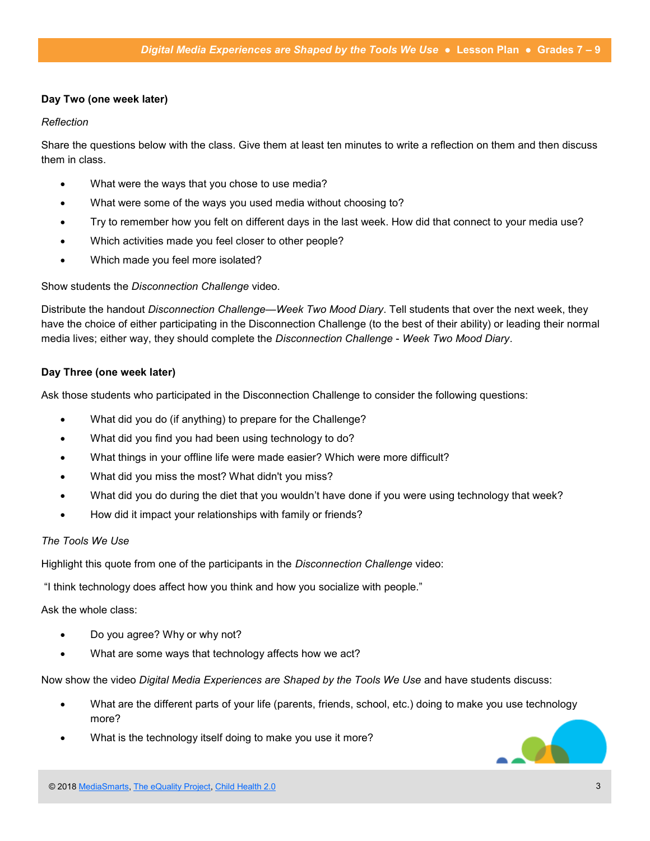#### **Day Two (one week later)**

#### *Reflection*

Share the questions below with the class. Give them at least ten minutes to write a reflection on them and then discuss them in class.

- What were the ways that you chose to use media?
- What were some of the ways you used media without choosing to?
- Try to remember how you felt on different days in the last week. How did that connect to your media use?
- Which activities made you feel closer to other people?
- Which made you feel more isolated?

#### Show students the *Disconnection Challenge* video.

Distribute the handout *Disconnection Challenge—Week Two Mood Diary*. Tell students that over the next week, they have the choice of either participating in the Disconnection Challenge (to the best of their ability) or leading their normal media lives; either way, they should complete the *Disconnection Challenge* - *Week Two Mood Diary*.

#### **Day Three (one week later)**

Ask those students who participated in the Disconnection Challenge to consider the following questions:

- What did you do (if anything) to prepare for the Challenge?
- What did you find you had been using technology to do?
- What things in your offline life were made easier? Which were more difficult?
- What did you miss the most? What didn't you miss?
- What did you do during the diet that you wouldn't have done if you were using technology that week?
- How did it impact your relationships with family or friends?

#### *The Tools We Use*

Highlight this quote from one of the participants in the *Disconnection Challenge* video:

"I think technology does affect how you think and how you socialize with people."

#### Ask the whole class:

- Do you agree? Why or why not?
- What are some ways that technology affects how we act?

Now show the video *Digital Media Experiences are Shaped by the Tools We Use* and have students discuss:

- What are the different parts of your life (parents, friends, school, etc.) doing to make you use technology more?
- What is the technology itself doing to make you use it more?

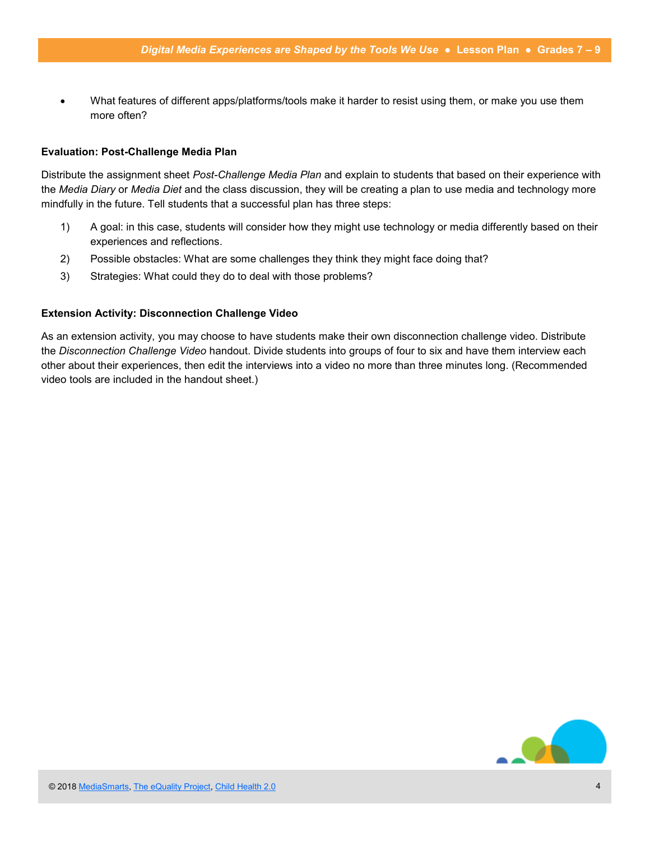What features of different apps/platforms/tools make it harder to resist using them, or make you use them more often?

#### **Evaluation: Post-Challenge Media Plan**

Distribute the assignment sheet *Post-Challenge Media Plan* and explain to students that based on their experience with the *Media Diary* or *Media Diet* and the class discussion, they will be creating a plan to use media and technology more mindfully in the future. Tell students that a successful plan has three steps:

- 1) A goal: in this case, students will consider how they might use technology or media differently based on their experiences and reflections.
- 2) Possible obstacles: What are some challenges they think they might face doing that?
- 3) Strategies: What could they do to deal with those problems?

#### **Extension Activity: Disconnection Challenge Video**

As an extension activity, you may choose to have students make their own disconnection challenge video. Distribute the *Disconnection Challenge Video* handout. Divide students into groups of four to six and have them interview each other about their experiences, then edit the interviews into a video no more than three minutes long. (Recommended video tools are included in the handout sheet.)

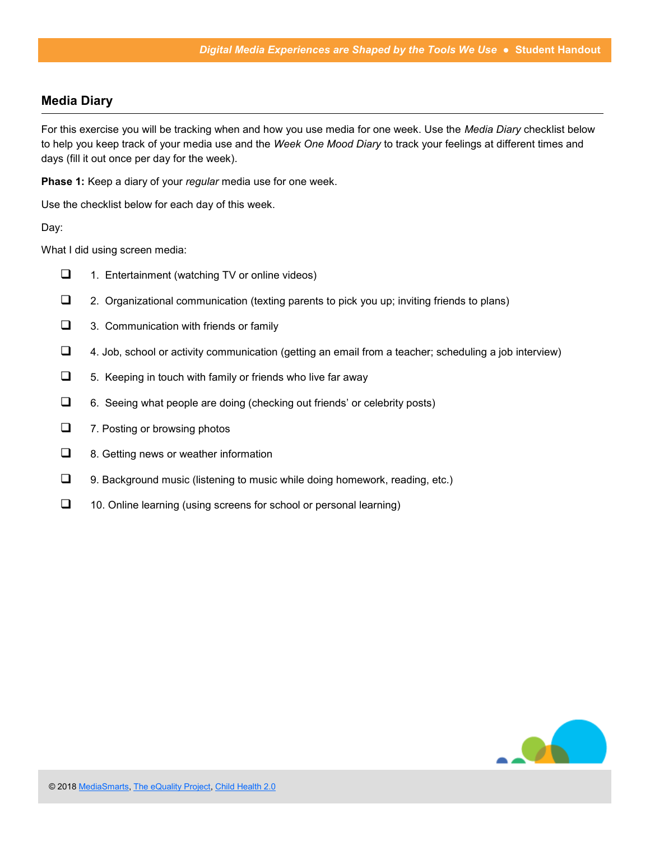## **Media Diary**

For this exercise you will be tracking when and how you use media for one week. Use the *Media Diary* checklist below to help you keep track of your media use and the *Week One Mood Diary* to track your feelings at different times and days (fill it out once per day for the week).

**Phase 1:** Keep a diary of your *regular* media use for one week.

Use the checklist below for each day of this week.

Day:

What I did using screen media:

- $\Box$  1. Entertainment (watching TV or online videos)
- 2. Organizational communication (texting parents to pick you up; inviting friends to plans)
- **1** 3. Communication with friends or family
- $\Box$  4. Job, school or activity communication (getting an email from a teacher; scheduling a job interview)
- $\Box$  5. Keeping in touch with family or friends who live far away
- $\Box$  6. Seeing what people are doing (checking out friends' or celebrity posts)
- $\Box$  7. Posting or browsing photos
- $\Box$  8. Getting news or weather information
- $\Box$  9. Background music (listening to music while doing homework, reading, etc.)
- $\Box$  10. Online learning (using screens for school or personal learning)

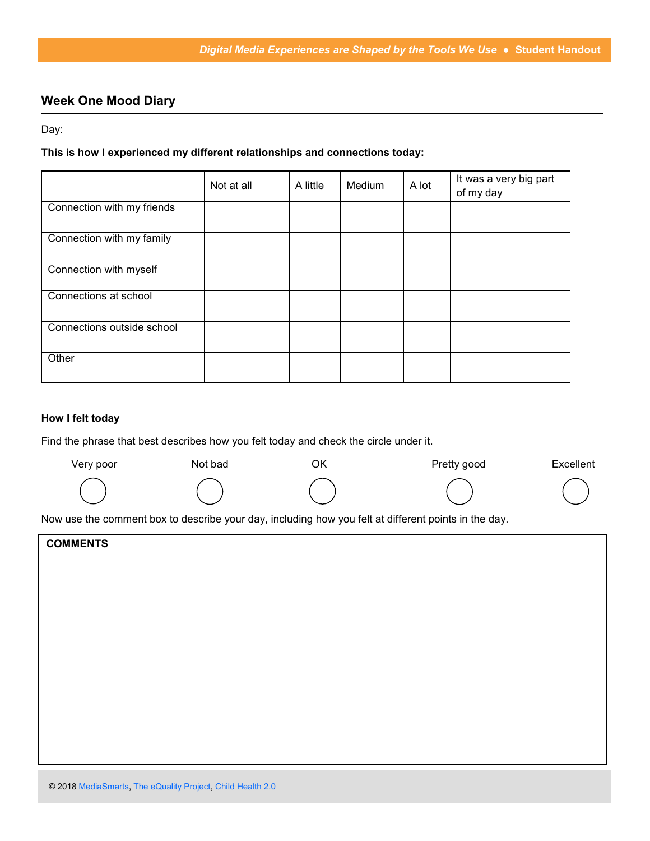# **Week One Mood Diary**

Day:

#### **This is how I experienced my different relationships and connections today:**

|                            | Not at all | A little | Medium | A lot | It was a very big part<br>of my day |
|----------------------------|------------|----------|--------|-------|-------------------------------------|
| Connection with my friends |            |          |        |       |                                     |
| Connection with my family  |            |          |        |       |                                     |
| Connection with myself     |            |          |        |       |                                     |
| Connections at school      |            |          |        |       |                                     |
| Connections outside school |            |          |        |       |                                     |
| Other                      |            |          |        |       |                                     |

#### **How I felt today**

Find the phrase that best describes how you felt today and check the circle under it.

| Very poor | Not bad | ОK | Pretty good | Excellent |
|-----------|---------|----|-------------|-----------|
|           |         |    |             |           |

Now use the comment box to describe your day, including how you felt at different points in the day.

| <b>COMMENTS</b> |  |
|-----------------|--|
|                 |  |
|                 |  |
|                 |  |
|                 |  |
|                 |  |
|                 |  |
|                 |  |
|                 |  |
|                 |  |
|                 |  |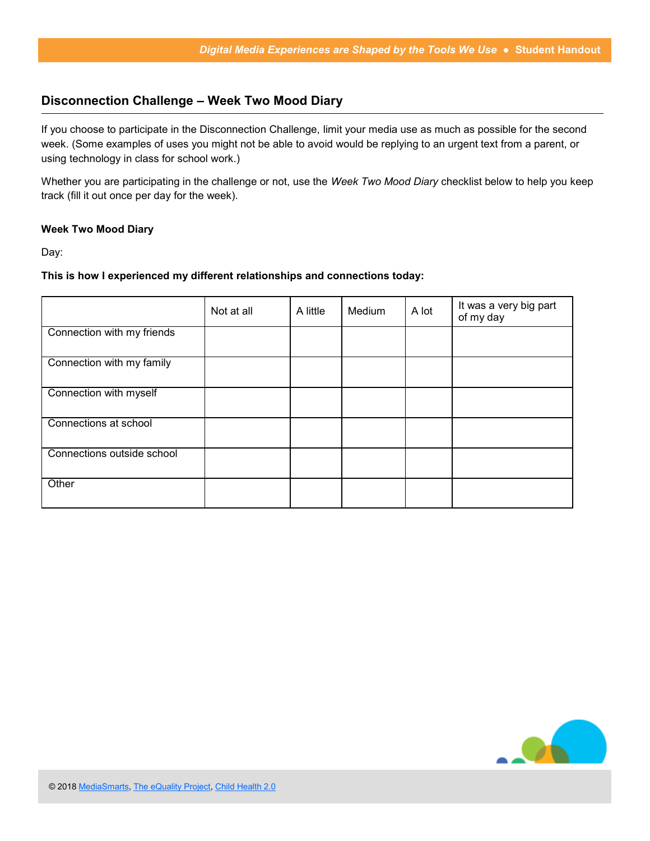## **Disconnection Challenge – Week Two Mood Diary**

If you choose to participate in the Disconnection Challenge, limit your media use as much as possible for the second week. (Some examples of uses you might not be able to avoid would be replying to an urgent text from a parent, or using technology in class for school work.)

Whether you are participating in the challenge or not, use the *Week Two Mood Diary* checklist below to help you keep track (fill it out once per day for the week).

#### **Week Two Mood Diary**

Day:

#### **This is how I experienced my different relationships and connections today:**

|                            | Not at all | A little | Medium | A lot | It was a very big part<br>of my day |
|----------------------------|------------|----------|--------|-------|-------------------------------------|
| Connection with my friends |            |          |        |       |                                     |
| Connection with my family  |            |          |        |       |                                     |
| Connection with myself     |            |          |        |       |                                     |
| Connections at school      |            |          |        |       |                                     |
| Connections outside school |            |          |        |       |                                     |
| Other                      |            |          |        |       |                                     |

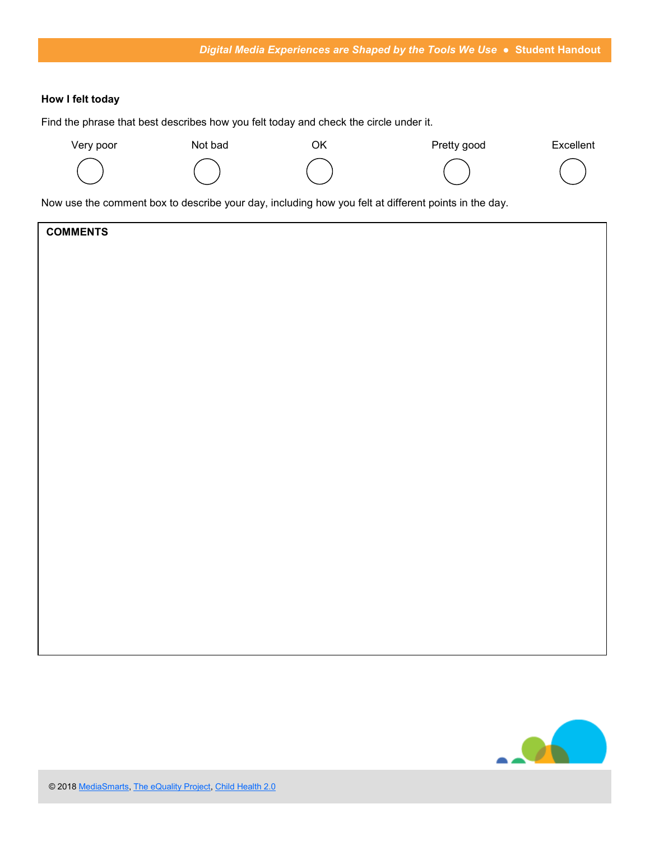#### **How I felt today**

Find the phrase that best describes how you felt today and check the circle under it.



Now use the comment box to describe your day, including how you felt at different points in the day.

| <b>COMMENTS</b> |  |
|-----------------|--|
|-----------------|--|

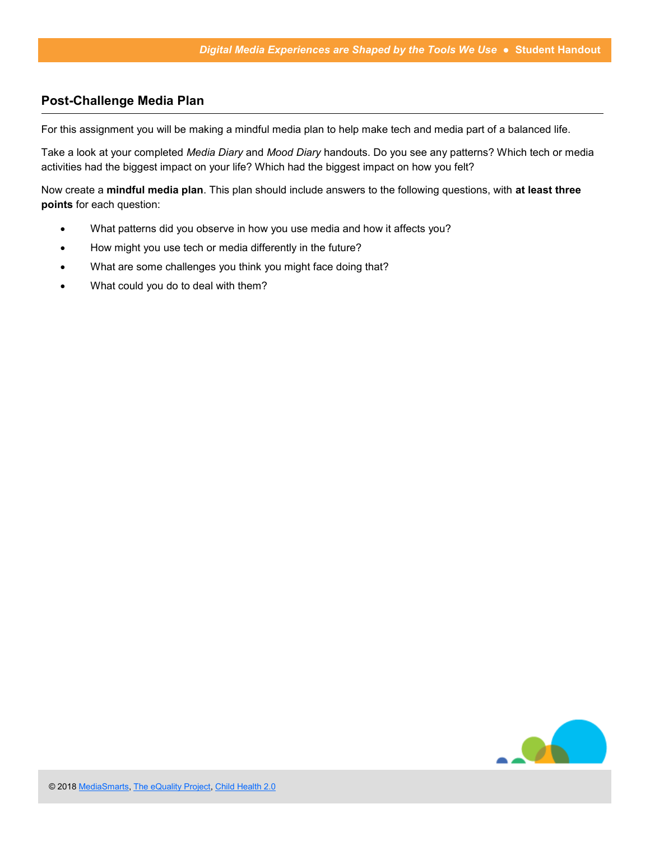## **Post-Challenge Media Plan**

For this assignment you will be making a mindful media plan to help make tech and media part of a balanced life.

Take a look at your completed *Media Diary* and *Mood Diary* handouts. Do you see any patterns? Which tech or media activities had the biggest impact on your life? Which had the biggest impact on how you felt?

Now create a **mindful media plan**. This plan should include answers to the following questions, with **at least three points** for each question:

- What patterns did you observe in how you use media and how it affects you?
- How might you use tech or media differently in the future?
- What are some challenges you think you might face doing that?
- What could you do to deal with them?

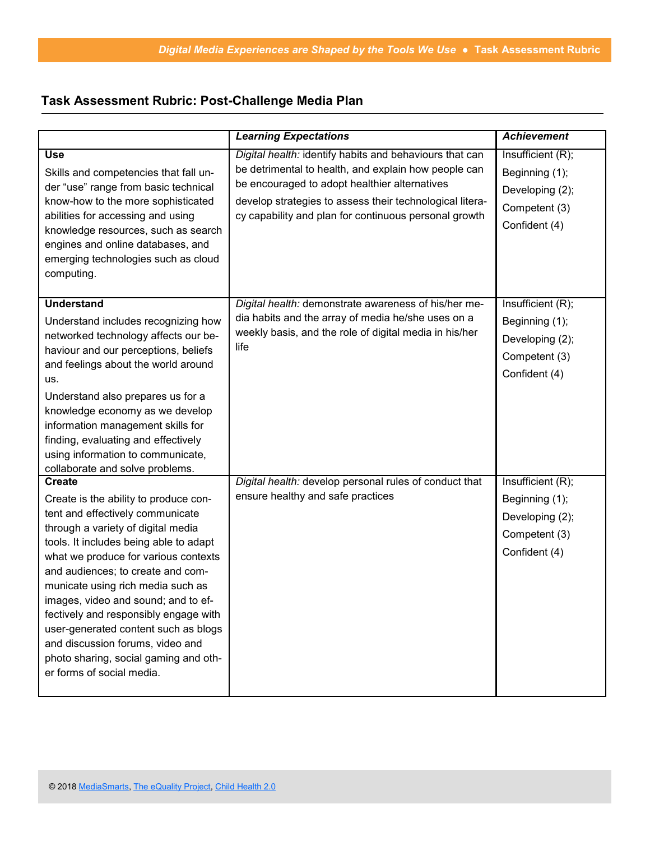## **Task Assessment Rubric: Post-Challenge Media Plan**

|                                                                                                                                                                                                                                                                                                                                                                                                                                                                                                                                | <b>Learning Expectations</b>                                                                                                                                                                                                                                                          | <b>Achievement</b>                                                                       |
|--------------------------------------------------------------------------------------------------------------------------------------------------------------------------------------------------------------------------------------------------------------------------------------------------------------------------------------------------------------------------------------------------------------------------------------------------------------------------------------------------------------------------------|---------------------------------------------------------------------------------------------------------------------------------------------------------------------------------------------------------------------------------------------------------------------------------------|------------------------------------------------------------------------------------------|
| <b>Use</b><br>Skills and competencies that fall un-<br>der "use" range from basic technical<br>know-how to the more sophisticated<br>abilities for accessing and using<br>knowledge resources, such as search<br>engines and online databases, and<br>emerging technologies such as cloud<br>computing.                                                                                                                                                                                                                        | Digital health: identify habits and behaviours that can<br>be detrimental to health, and explain how people can<br>be encouraged to adopt healthier alternatives<br>develop strategies to assess their technological litera-<br>cy capability and plan for continuous personal growth | Insufficient (R);<br>Beginning (1);<br>Developing (2);<br>Competent (3)<br>Confident (4) |
| <b>Understand</b><br>Understand includes recognizing how<br>networked technology affects our be-<br>haviour and our perceptions, beliefs<br>and feelings about the world around<br>us.<br>Understand also prepares us for a<br>knowledge economy as we develop<br>information management skills for<br>finding, evaluating and effectively<br>using information to communicate,<br>collaborate and solve problems.                                                                                                             | Digital health: demonstrate awareness of his/her me-<br>dia habits and the array of media he/she uses on a<br>weekly basis, and the role of digital media in his/her<br>life                                                                                                          | Insufficient (R);<br>Beginning (1);<br>Developing (2);<br>Competent (3)<br>Confident (4) |
| <b>Create</b><br>Create is the ability to produce con-<br>tent and effectively communicate<br>through a variety of digital media<br>tools. It includes being able to adapt<br>what we produce for various contexts<br>and audiences; to create and com-<br>municate using rich media such as<br>images, video and sound; and to ef-<br>fectively and responsibly engage with<br>user-generated content such as blogs<br>and discussion forums, video and<br>photo sharing, social gaming and oth-<br>er forms of social media. | Digital health: develop personal rules of conduct that<br>ensure healthy and safe practices                                                                                                                                                                                           | Insufficient(R);<br>Beginning (1);<br>Developing (2);<br>Competent (3)<br>Confident (4)  |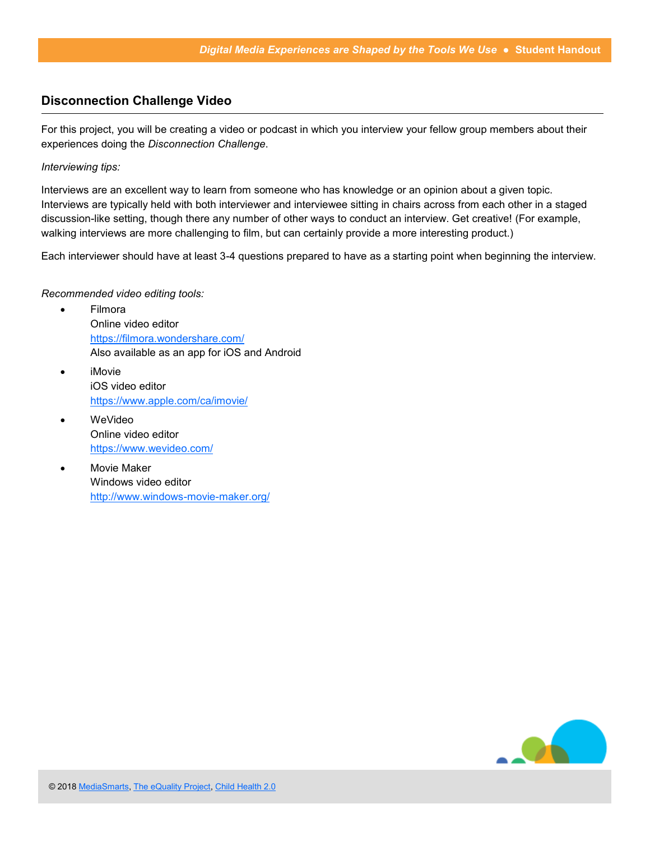### **Disconnection Challenge Video**

For this project, you will be creating a video or podcast in which you interview your fellow group members about their experiences doing the *Disconnection Challenge*.

*Interviewing tips:*

Interviews are an excellent way to learn from someone who has knowledge or an opinion about a given topic. Interviews are typically held with both interviewer and interviewee sitting in chairs across from each other in a staged discussion-like setting, though there any number of other ways to conduct an interview. Get creative! (For example, walking interviews are more challenging to film, but can certainly provide a more interesting product.)

Each interviewer should have at least 3-4 questions prepared to have as a starting point when beginning the interview.

#### *Recommended video editing tools:*

- Filmora Online video editor <https://filmora.wondershare.com/> Also available as an app for iOS and Android
- iMovie iOS video editor <https://www.apple.com/ca/imovie/>
- WeVideo Online video editor <https://www.wevideo.com/>
- Movie Maker Windows video editor [http://www.windows](http://www.windows-movie-maker.org/)-movie-maker.org/